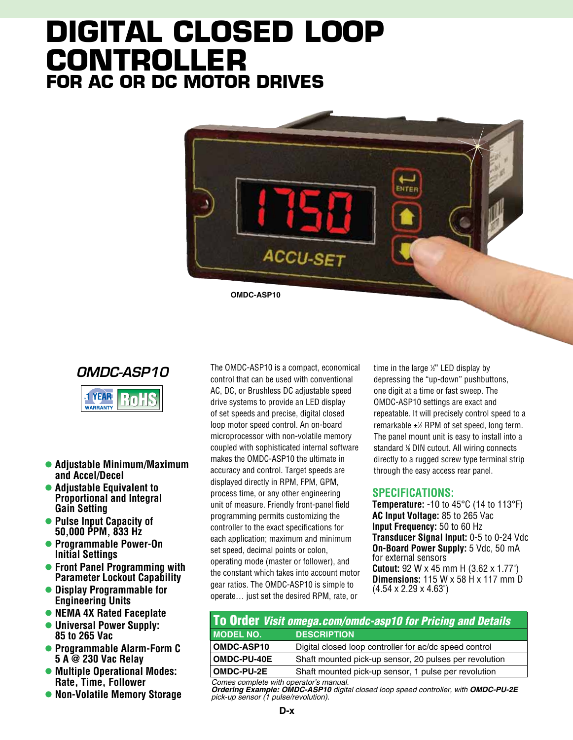# **Digital Closed Loop controller for AC or DC Motor Drives**







- l **Adjustable Minimum/Maximum and Accel/Decel**
- **Adjustable Equivalent to Proportional and Integral Gain Setting**
- **Pulse Input Capacity of 50,000 PPM, 833 Hz**
- l **Programmable Power-On Initial Settings**
- **Front Panel Programming with Parameter Lockout Capability**
- **Display Programmable for Engineering Units**
- **NEMA 4X Rated Faceplate**
- **Universal Power Supply: 85 to 265 Vac**
- l **Programmable Alarm-Form C 5 A @ 230 Vac Relay**
- **Multiple Operational Modes: Rate, Time, Follower**
- **Non-Volatile Memory Storage**

The OMDC-ASP10 is a compact, economical control that can be used with conventional AC, DC, or Brushless DC adjustable speed drive systems to provide an LED display of set speeds and precise, digital closed loop motor speed control. An on-board microprocessor with non-volatile memory coupled with sophisticated internal software makes the OMDC-ASP10 the ultimate in accuracy and control. Target speeds are displayed directly in RPM, FPM, GPM, process time, or any other engineering unit of measure. Friendly front-panel field programming permits customizing the controller to the exact specifications for each application; maximum and minimum set speed, decimal points or colon, operating mode (master or follower), and the constant which takes into account motor gear ratios. The OMDC-ASP10 is simple to operate… just set the desired RPM, rate, or

time in the large 1 ⁄2" LED display by depressing the "up-down" pushbuttons, one digit at a time or fast sweep. The OMDC-ASP10 settings are exact and repeatable. It will precisely control speed to a remarkable  $\pm\%$  RPM of set speed, long term. The panel mount unit is easy to install into a standard 1 ⁄8 DIN cutout. All wiring connects directly to a rugged screw type terminal strip through the easy access rear panel.

#### **Specifications:**

**Temperature:** -10 to 45°C (14 to 113°F) **AC Input Voltage:** 85 to 265 Vac **Input Frequency:** 50 to 60 Hz **Transducer Signal Input:** 0-5 to 0-24 Vdc **On-Board Power Supply:** 5 Vdc, 50 mA for external sensors **Cutout:** 92 W x 45 mm H (3.62 x 1.77") **Dimensions:** 115 W x 58 H x 117 mm D  $(4.54 \times 2.29 \times 4.63^{\circ})$ 

### To Order *Visit omega.com/omdc-asp10 for Pricing and Details* **MODEL NO. DESCRIPTION**

| <b>OMDC-ASP10</b>                         | Digital closed loop controller for ac/dc speed control |
|-------------------------------------------|--------------------------------------------------------|
| <b>OMDC-PU-40E</b>                        | Shaft mounted pick-up sensor, 20 pulses per revolution |
| <b>OMDC-PU-2E</b>                         | Shaft mounted pick-up sensor, 1 pulse per revolution   |
| $\sim$ $\sim$ $\sim$ $\sim$ $\sim$ $\sim$ |                                                        |

*Comes complete with operator's manual. Ordering Example: OMDC-ASP10 digital closed loop speed controller, with OMDC-PU-2E pick-up sensor (1 pulse/revolution).*